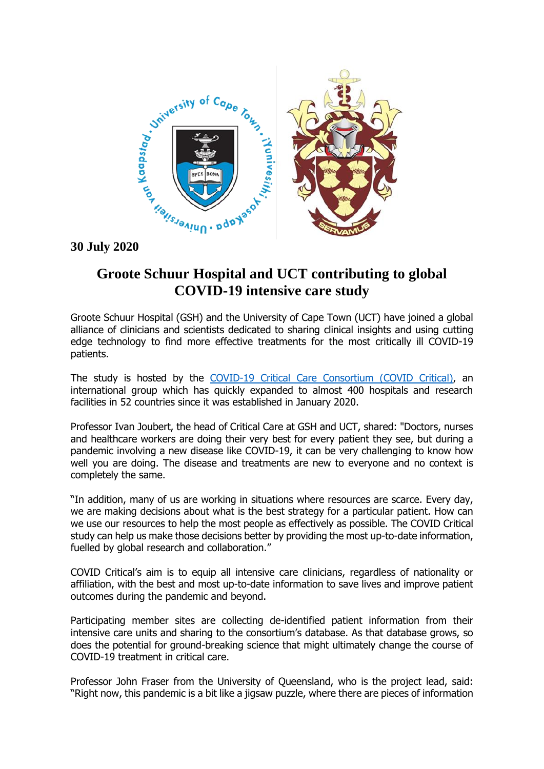

## **Groote Schuur Hospital and UCT contributing to global COVID-19 intensive care study**

Groote Schuur Hospital (GSH) and the University of Cape Town (UCT) have joined a global alliance of clinicians and scientists dedicated to sharing clinical insights and using cutting edge technology to find more effective treatments for the most critically ill COVID-19 patients.

The study is hosted by the [COVID-19 Critical Care Consortium \(COVID Critical\),](http://www.covid-critical.com/) an international group which has quickly expanded to almost 400 hospitals and research facilities in 52 countries since it was established in January 2020.

Professor Ivan Joubert, the head of Critical Care at GSH and UCT, shared: "Doctors, nurses and healthcare workers are doing their very best for every patient they see, but during a pandemic involving a new disease like COVID-19, it can be very challenging to know how well you are doing. The disease and treatments are new to everyone and no context is completely the same.

"In addition, many of us are working in situations where resources are scarce. Every day, we are making decisions about what is the best strategy for a particular patient. How can we use our resources to help the most people as effectively as possible. The COVID Critical study can help us make those decisions better by providing the most up-to-date information, fuelled by global research and collaboration."

COVID Critical's aim is to equip all intensive care clinicians, regardless of nationality or affiliation, with the best and most up-to-date information to save lives and improve patient outcomes during the pandemic and beyond.

Participating member sites are collecting de-identified patient information from their intensive care units and sharing to the consortium's database. As that database grows, so does the potential for ground-breaking science that might ultimately change the course of COVID-19 treatment in critical care.

Professor John Fraser from the University of Queensland, who is the project lead, said: "Right now, this pandemic is a bit like a jigsaw puzzle, where there are pieces of information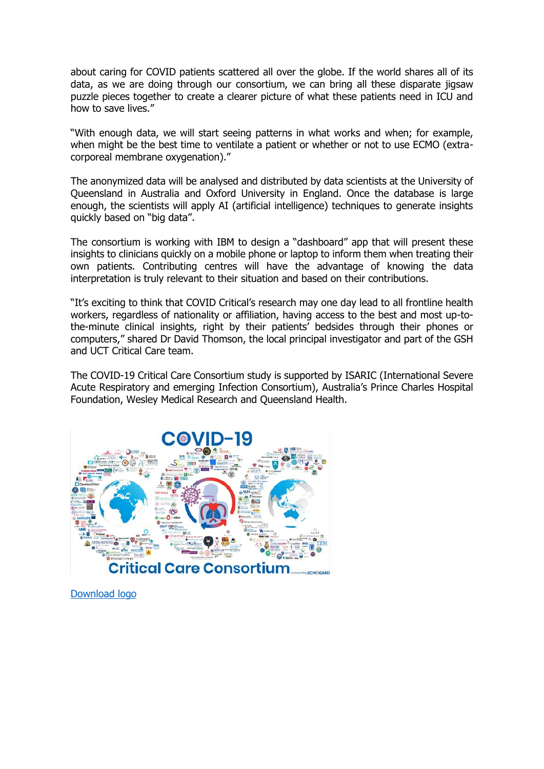about caring for COVID patients scattered all over the globe. If the world shares all of its data, as we are doing through our consortium, we can bring all these disparate jigsaw puzzle pieces together to create a clearer picture of what these patients need in ICU and how to save lives."

"With enough data, we will start seeing patterns in what works and when; for example, when might be the best time to ventilate a patient or whether or not to use ECMO (extracorporeal membrane oxygenation)."

The anonymized data will be analysed and distributed by data scientists at the University of Queensland in Australia and Oxford University in England. Once the database is large enough, the scientists will apply AI (artificial intelligence) techniques to generate insights quickly based on "big data".

The consortium is working with IBM to design a "dashboard" app that will present these insights to clinicians quickly on a mobile phone or laptop to inform them when treating their own patients. Contributing centres will have the advantage of knowing the data interpretation is truly relevant to their situation and based on their contributions.

"It's exciting to think that COVID Critical's research may one day lead to all frontline health workers, regardless of nationality or affiliation, having access to the best and most up-tothe-minute clinical insights, right by their patients' bedsides through their phones or computers," shared Dr David Thomson, the local principal investigator and part of the GSH and UCT Critical Care team.

The COVID-19 Critical Care Consortium study is supported by ISARIC (International Severe Acute Respiratory and emerging Infection Consortium), Australia's Prince Charles Hospital Foundation, Wesley Medical Research and Queensland Health.



[Download logo](https://drive.google.com/file/d/10ls0IiGz6onbnIqXAYPcwbUd0kmuUgtl/view?usp=sharing)